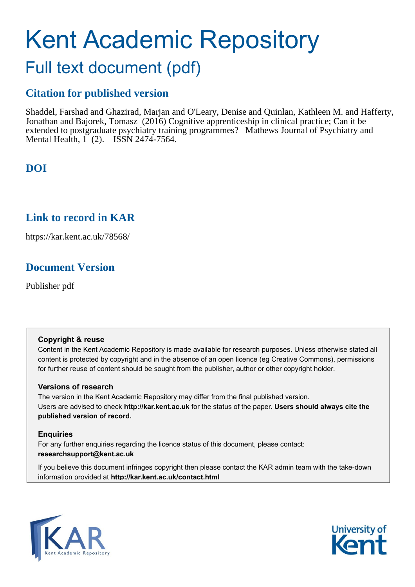# Kent Academic Repository

## Full text document (pdf)

### **Citation for published version**

Shaddel, Farshad and Ghazirad, Marjan and O'Leary, Denise and Quinlan, Kathleen M. and Hafferty, Jonathan and Bajorek, Tomasz (2016) Cognitive apprenticeship in clinical practice; Can it be extended to postgraduate psychiatry training programmes? Mathews Journal of Psychiatry and Mental Health, 1 (2). ISSN 2474-7564.

### **DOI**

### **Link to record in KAR**

https://kar.kent.ac.uk/78568/

### **Document Version**

Publisher pdf

### **Copyright & reuse**

Content in the Kent Academic Repository is made available for research purposes. Unless otherwise stated all content is protected by copyright and in the absence of an open licence (eg Creative Commons), permissions for further reuse of content should be sought from the publisher, author or other copyright holder.

### **Versions of research**

The version in the Kent Academic Repository may differ from the final published version. Users are advised to check **http://kar.kent.ac.uk** for the status of the paper. **Users should always cite the published version of record.**

### **Enquiries**

For any further enquiries regarding the licence status of this document, please contact: **researchsupport@kent.ac.uk**

If you believe this document infringes copyright then please contact the KAR admin team with the take-down information provided at **http://kar.kent.ac.uk/contact.html**



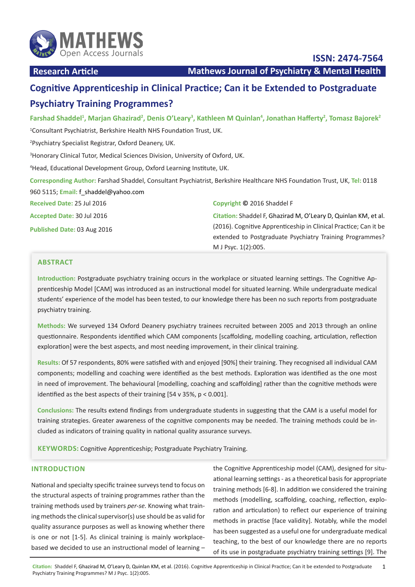

**ISSN: 2474-7564**

**Research Article Mathews Journal of Psychiatry & Mental Health** 

### **Cognitive Apprenticeship in Clinical Practice; Can it be Extended to Postgraduate Psychiatry Training Programmes?**

**Farshad Shaddel<sup>1</sup> , Marjan Ghazirad<sup>2</sup> , Denis O'Leary<sup>3</sup> , Kathleen M Quinlan<sup>4</sup> , Jonathan Hafferty<sup>2</sup> , Tomasz Bajorek<sup>2</sup>**

1 Consultant Psychiatrist, Berkshire Health NHS Foundation Trust, UK.

2 Psychiatry Specialist Registrar, Oxford Deanery, UK.

3 Honorary Clinical Tutor, Medical Sciences Division, University of Oxford, UK.

4 Head, Educational Development Group, Oxford Learning Institute, UK.

**Corresponding Author:** Farshad Shaddel, Consultant Psychiatrist, Berkshire Healthcare NHS Foundation Trust, UK, **Tel:** 0118 960 5115; **Email:** [f\\_shaddel@yahoo.com](mailto:f_shaddel%40yahoo.com)

**Received Date:** 25 Jul 2016

**Accepted Date:** 30 Jul 2016

**Published Date:** 03 Aug 2016

#### **Copyright ©** 2016 Shaddel F

**Citation:** Shaddel F, Ghazirad M, O'Leary D, Quinlan KM, et al. (2016). Cognitive Apprenticeship in Clinical Practice; Can it be extended to Postgraduate Psychiatry Training Programmes? M J Psyc. 1(2):005.

### **ABSTRACT**

**Introduction:** Postgraduate psychiatry training occurs in the workplace or situated learning settings. The Cognitive Apprenticeship Model [CAM] was introduced as an instructional model for situated learning. While undergraduate medical students' experience of the model has been tested, to our knowledge there has been no such reports from postgraduate psychiatry training.

**Methods:** We surveyed 134 Oxford Deanery psychiatry trainees recruited between 2005 and 2013 through an online questionnaire. Respondents identified which CAM components [scaffolding, modelling coaching, articulation, reflection exploration] were the best aspects, and most needing improvement, in their clinical training.

**Results:** Of 57 respondents, 80% were satisfied with and enjoyed [90%] their training. They recognised all individual CAM components; modelling and coaching were identified as the best methods. Exploration was identified as the one most in need of improvement. The behavioural [modelling, coaching and scaffolding] rather than the cognitive methods were identified as the best aspects of their training [54 v 35%, p < 0.001].

**Conclusions:** The results extend findings from undergraduate students in suggesting that the CAM is a useful model for training strategies. Greater awareness of the cognitive components may be needed. The training methods could be included as indicators of training quality in national quality assurance surveys.

**KEYWORDS:** Cognitive Apprenticeship; Postgraduate Psychiatry Training.

### **INTRODUCTION**

National and specialty specific trainee surveys tend to focus on the structural aspects of training programmes rather than the training methods used by trainers *per-se.* Knowing what training methods the clinical supervisor(s) use should be as valid for quality assurance purposes as well as knowing whether there is one or not [1-5]. As clinical training is mainly workplacebased we decided to use an instructional model of learning –

the Cognitive Apprenticeship model (CAM), designed for situational learning settings - as a theoretical basis for appropriate training methods [6-8]. In addition we considered the training methods (modelling, scaffolding, coaching, reflection, exploration and articulation) to reflect our experience of training methods in practise [face validity]. Notably, while the model has been suggested as a useful one for undergraduate medical teaching, to the best of our knowledge there are no reports of its use in postgraduate psychiatry training settings [9]. The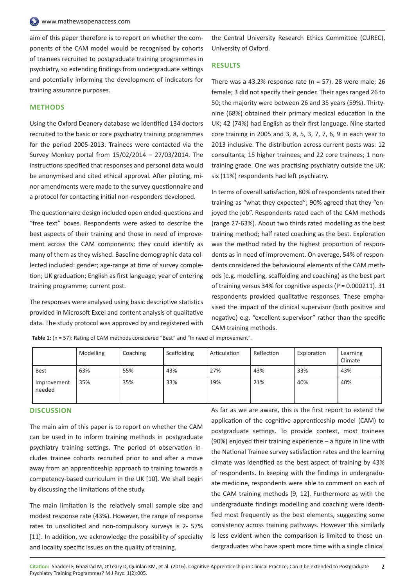aim of this paper therefore is to report on whether the components of the CAM model would be recognised by cohorts of trainees recruited to postgraduate training programmes in psychiatry, so extending findings from undergraduate settings and potentially informing the development of indicators for training assurance purposes.

#### **METHODS**

Using the Oxford Deanery database we identified 134 doctors recruited to the basic or core psychiatry training programmes for the period 2005-2013. Trainees were contacted via the Survey Monkey portal from 15/02/2014 – 27/03/2014. The instructions specified that responses and personal data would be anonymised and cited ethical approval. After piloting, minor amendments were made to the survey questionnaire and a protocol for contacting initial non-responders developed.

The questionnaire design included open ended-questions and "free text" boxes. Respondents were asked to describe the best aspects of their training and those in need of improvement across the CAM components; they could identify as many of them as they wished. Baseline demographic data collected included: gender; age-range at time of survey completion; UK graduation; English as first language; year of entering training programme; current post.

The responses were analysed using basic descriptive statistics provided in Microsoft Excel and content analysis of qualitative data. The study protocol was approved by and registered with the Central University Research Ethics Committee (CUREC), University of Oxford.

#### **RESULTS**

There was a 43.2% response rate ( $n = 57$ ). 28 were male; 26 female; 3 did not specify their gender. Their ages ranged 26 to 50; the majority were between 26 and 35 years (59%). Thirtynine (68%) obtained their primary medical education in the UK; 42 (74%) had English as their first language. Nine started core training in 2005 and 3, 8, 5, 3, 7, 7, 6, 9 in each year to 2013 inclusive. The distribution across current posts was: 12 consultants; 15 higher trainees; and 22 core trainees; 1 nontraining grade. One was practising psychiatry outside the UK; six (11%) respondents had left psychiatry.

In terms of overall satisfaction, 80% of respondents rated their training as "what they expected"; 90% agreed that they "enjoyed the job". Respondents rated each of the CAM methods (range 27-63%). About two thirds rated modelling as the best training method; half rated coaching as the best. Exploration was the method rated by the highest proportion of respondents as in need of improvement. On average, 54% of respondents considered the behavioural elements of the CAM methods [e.g. modelling, scaffolding and coaching) as the best part of training versus 34% for cognitive aspects (P = 0.000211). 31 respondents provided qualitative responses. These emphasised the impact of the clinical supervisor (both positive and negative) e.g. "excellent supervisor" rather than the specific CAM training methods.

|                       | Modelling | Coaching | Scaffolding | Articulation | Reflection | Exploration | Learning<br>Climate |
|-----------------------|-----------|----------|-------------|--------------|------------|-------------|---------------------|
| <b>Best</b>           | 63%       | 55%      | 43%         | 27%          | 43%        | 33%         | 43%                 |
| Improvement<br>needed | 35%       | 35%      | 33%         | 19%          | 21%        | 40%         | 40%                 |

Table 1: (n = 57): Rating of CAM methods considered "Best" and "In need of improvement".

#### **DISCUSSION**

The main aim of this paper is to report on whether the CAM can be used in to inform training methods in postgraduate psychiatry training settings. The period of observation includes trainee cohorts recruited prior to and after a move away from an apprenticeship approach to training towards a competency-based curriculum in the UK [10]. We shall begin by discussing the limitations of the study.

The main limitation is the relatively small sample size and modest response rate (43%). However, the range of response rates to unsolicited and non-compulsory surveys is 2- 57% [11]. In addition, we acknowledge the possibility of specialty and locality specific issues on the quality of training.

As far as we are aware, this is the first report to extend the application of the cognitive apprenticeship model (CAM) to postgraduate settings. To provide context, most trainees (90%) enjoyed their training experience – a figure in line with the National Trainee survey satisfaction rates and the learning climate was identified as the best aspect of training by 43% of respondents. In keeping with the findings in undergraduate medicine, respondents were able to comment on each of the CAM training methods [9, 12]. Furthermore as with the undergraduate findings modelling and coaching were identified most frequently as the best elements, suggesting some consistency across training pathways. However this similarly is less evident when the comparison is limited to those undergraduates who have spent more time with a single clinical